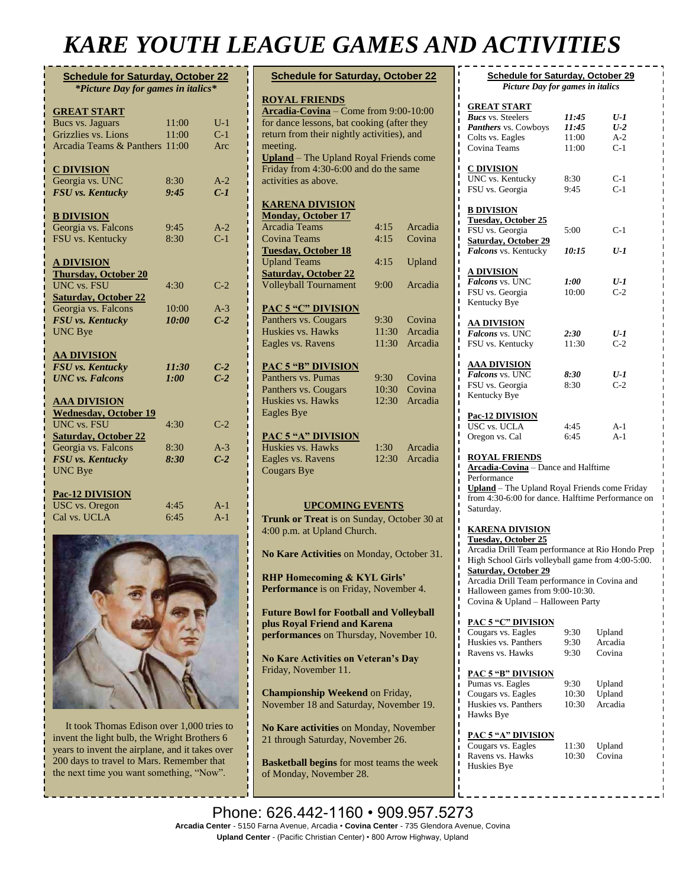## *KARE YOUTH LEAGUE GAMES AND ACTIVITIES*

| <b>Schedule for Saturday, October 22</b> |       |       |  |  |
|------------------------------------------|-------|-------|--|--|
| *Picture Day for games in italics*       |       |       |  |  |
|                                          |       |       |  |  |
| <b>GREAT START</b>                       |       |       |  |  |
| <b>Bucs vs. Jaguars</b>                  | 11:00 | $U-1$ |  |  |
| Grizzlies vs. Lions                      | 11:00 | $C-1$ |  |  |
| Arcadia Teams & Panthers                 | 11:00 | Arc   |  |  |
|                                          |       |       |  |  |
| <b>C DIVISION</b><br>Georgia vs. UNC     | 8:30  | $A-2$ |  |  |
| FSU vs. Kentucky                         | 9:45  | $C-1$ |  |  |
|                                          |       |       |  |  |
| <b>B DIVISION</b>                        |       |       |  |  |
| Georgia vs. Falcons                      | 9:45  | $A-2$ |  |  |
| FSU vs. Kentucky                         | 8:30  | $C-1$ |  |  |
|                                          |       |       |  |  |
| <b>A DIVISION</b>                        |       |       |  |  |
| <b>Thursday, October 20</b>              |       |       |  |  |
| <b>UNC</b> vs. FSU                       | 4:30  | $C-2$ |  |  |
| <b>Saturday, October 22</b>              |       |       |  |  |
| Georgia vs. Falcons                      | 10:00 | $A-3$ |  |  |
| <b>FSU</b> vs. Kentucky                  | 10:00 | $C-2$ |  |  |
| <b>UNC Bye</b>                           |       |       |  |  |
|                                          |       |       |  |  |
| <b>AA DIVISION</b>                       |       |       |  |  |
| FSU vs. Kentucky                         | 11:30 | $C-2$ |  |  |
| <b>UNC</b> vs. Falcons                   | 1:00  | $C-2$ |  |  |
| <u>AAA DIVISION</u>                      |       |       |  |  |
| <b>Wednesday, October 19</b>             |       |       |  |  |
| <b>UNC</b> vs. FSU                       | 4:30  | $C-2$ |  |  |
| <b>Saturday, October 22</b>              |       |       |  |  |
| Georgia vs. Falcons                      | 8:30  | $A-3$ |  |  |
| FSU vs. Kentucky                         | 8:30  | $C-2$ |  |  |
| <b>UNC Bye</b>                           |       |       |  |  |
|                                          |       |       |  |  |
| Pac-12 DIVISION                          |       |       |  |  |
| <b>USC</b> vs. Oregon                    | 4:45  | $A-1$ |  |  |
| Cal vs. UCLA                             | 6:45  | $A-1$ |  |  |
|                                          |       |       |  |  |



 It took Thomas Edison over 1,000 tries to invent the light bulb, the Wright Brothers 6 years to invent the airplane, and it takes over 200 days to travel to Mars. Remember that the next time you want something, "Now".

| <b>Schedule for Saturday, October 22</b>                               |                |         |  |  |  |
|------------------------------------------------------------------------|----------------|---------|--|--|--|
| <b>ROYAL FRIENDS</b>                                                   |                |         |  |  |  |
| Arcadia-Covina - Come from 9:00-10:00                                  |                |         |  |  |  |
| for dance lessons, bat cooking (after they                             |                |         |  |  |  |
| return from their nightly activities), and                             |                |         |  |  |  |
| meeting.                                                               |                |         |  |  |  |
| <b>Upland</b> - The Upland Royal Friends come                          |                |         |  |  |  |
| Friday from 4:30-6:00 and do the same                                  |                |         |  |  |  |
| activities as above.                                                   |                |         |  |  |  |
|                                                                        |                |         |  |  |  |
| <b>KARENA DIVISION</b>                                                 |                |         |  |  |  |
| <b>Monday, October 17</b>                                              |                |         |  |  |  |
| <b>Arcadia Teams</b>                                                   | 4:15           | Arcadia |  |  |  |
| <b>Covina Teams</b>                                                    | 4:15           | Covina  |  |  |  |
| <b>Tuesday, October 18</b>                                             |                |         |  |  |  |
| <b>Upland Teams</b>                                                    | 4:15           | Upland  |  |  |  |
| <b>Saturday, October 22</b>                                            |                |         |  |  |  |
| <b>Volleyball Tournament</b>                                           | 9:00           | Arcadia |  |  |  |
|                                                                        |                |         |  |  |  |
| <b>PAC 5 "C" DIVISION</b>                                              |                |         |  |  |  |
| Panthers vs. Cougars                                                   | 9:30           | Covina  |  |  |  |
| Huskies vs. Hawks                                                      | 11:30          | Arcadia |  |  |  |
| Eagles vs. Ravens                                                      | 11:30          | Arcadia |  |  |  |
|                                                                        |                |         |  |  |  |
| <b>PAC 5 "B" DIVISION</b>                                              |                |         |  |  |  |
| Panthers vs. Pumas                                                     | 9:30           | Covina  |  |  |  |
| Panthers vs. Cougars                                                   | 10:30<br>12:30 | Covina  |  |  |  |
| Huskies vs. Hawks                                                      |                | Arcadia |  |  |  |
| <b>Eagles Bye</b>                                                      |                |         |  |  |  |
| <b>PAC 5 "A" DIVISION</b>                                              |                |         |  |  |  |
| Huskies vs. Hawks                                                      | 1:30           | Arcadia |  |  |  |
| Eagles vs. Ravens                                                      | 12:30          | Arcadia |  |  |  |
| <b>Cougars Bye</b>                                                     |                |         |  |  |  |
|                                                                        |                |         |  |  |  |
|                                                                        |                |         |  |  |  |
| <b>UPCOMING EVENTS</b>                                                 |                |         |  |  |  |
| Trunk or Treat is on Sunday, October 30 at                             |                |         |  |  |  |
| 4:00 p.m. at Upland Church.                                            |                |         |  |  |  |
|                                                                        |                |         |  |  |  |
| No Kare Activities on Monday, October 31.                              |                |         |  |  |  |
|                                                                        |                |         |  |  |  |
| <b>RHP Homecoming &amp; KYL Girls'</b>                                 |                |         |  |  |  |
| <b>Performance</b> is on Friday, November 4.                           |                |         |  |  |  |
|                                                                        |                |         |  |  |  |
| <b>Future Bowl for Football and Volleyball</b>                         |                |         |  |  |  |
| plus Royal Friend and Karena<br>performances on Thursday, November 10. |                |         |  |  |  |
|                                                                        |                |         |  |  |  |
| <b>No Kare Activities on Veteran's Day</b>                             |                |         |  |  |  |
| Friday, November 11.                                                   |                |         |  |  |  |
|                                                                        |                |         |  |  |  |
| Championship Weekend on Friday,                                        |                |         |  |  |  |
| November 18 and Saturday, November 19.                                 |                |         |  |  |  |
|                                                                        |                |         |  |  |  |
| No Kare activities on Monday, November                                 |                |         |  |  |  |

**Basketball begins** for most teams the week of Monday, November 28.

21 through Saturday, November 26.

| <b>Schedule for Saturday, October 29</b>                                       |               |                |  |  |
|--------------------------------------------------------------------------------|---------------|----------------|--|--|
| Picture Day for games in italics                                               |               |                |  |  |
| <u>GREAT START</u>                                                             |               |                |  |  |
| <b>Bucs</b> vs. Steelers                                                       | 11:45         | U-1            |  |  |
| Panthers vs. Cowboys                                                           | 11:45         | $U$ -2         |  |  |
| Colts vs. Eagles                                                               | 11:00         | $A-2$          |  |  |
| Covina Teams                                                                   | 11:00         | $C-1$          |  |  |
|                                                                                |               |                |  |  |
| <u>C DIVISION</u>                                                              |               |                |  |  |
| UNC vs. Kentucky                                                               | 8:30          | $C-1$<br>$C-1$ |  |  |
| FSU vs. Georgia                                                                | 9:45          |                |  |  |
| <b>B DIVISION</b>                                                              |               |                |  |  |
| <b>Tuesday, October 25</b>                                                     |               |                |  |  |
| FSU vs. Georgia                                                                | 5:00          | C-1            |  |  |
| <b>Saturday, October 29</b>                                                    |               |                |  |  |
| Falcons vs. Kentucky                                                           | 10:15         | U-1            |  |  |
|                                                                                |               |                |  |  |
| A DIVISION                                                                     |               |                |  |  |
| Falcons vs. UNC                                                                | 1:00<br>10:00 | U-1<br>$C-2$   |  |  |
| FSU vs. Georgia<br>Kentucky Bye                                                |               |                |  |  |
|                                                                                |               |                |  |  |
| <u>AA DIVISION</u>                                                             |               |                |  |  |
| Falcons vs. UNC                                                                | 2:30          | U-1            |  |  |
| FSU vs. Kentucky                                                               | 11:30         | $C-2$          |  |  |
|                                                                                |               |                |  |  |
| <b>AAA DIVISION</b>                                                            |               |                |  |  |
| Falcons vs. UNC                                                                | 8:30          | U-1            |  |  |
| FSU vs. Georgia                                                                | 8:30          | $C-2$          |  |  |
| Kentucky Bye                                                                   |               |                |  |  |
| <u>Pac-12 DIVISION</u>                                                         |               |                |  |  |
| <b>USC vs. UCLA</b>                                                            | 4:45          | $A-1$          |  |  |
| Oregon vs. Cal                                                                 | 6:45          | $A-1$          |  |  |
|                                                                                |               |                |  |  |
| <b>ROYAL FRIENDS</b><br><b>Arcadia-Covina</b> - Dance and Halftime             |               |                |  |  |
| Performance                                                                    |               |                |  |  |
| Upland - The Upland Royal Friends come Friday                                  |               |                |  |  |
| ı<br>from 4:30-6:00 for dance. Halftime Performance on                         |               |                |  |  |
| Saturday.                                                                      |               |                |  |  |
|                                                                                |               |                |  |  |
| <b>KARENA DIVISION</b>                                                         |               |                |  |  |
| <b>Tuesday, October 25</b><br>Arcadia Drill Team performance at Rio Hondo Prep |               |                |  |  |
| High School Girls volleyball game from 4:00-5:00.                              |               |                |  |  |
| <b>Saturday, October 29</b>                                                    |               |                |  |  |
| Arcadia Drill Team performance in Covina and                                   |               |                |  |  |
| Halloween games from 9:00-10:30.                                               |               |                |  |  |
| Covina & Upland - Halloween Party                                              |               |                |  |  |
|                                                                                |               |                |  |  |
| <b>PAC 5 "C" DIVISION</b>                                                      |               |                |  |  |
| Cougars vs. Eagles                                                             | 9:30          | Upland         |  |  |
| Huskies vs. Panthers                                                           | 9:30          | Arcadia        |  |  |
| Ravens vs. Hawks                                                               | 9:30          | Covina         |  |  |
| <b>PAC 5 "B" DIVISION</b>                                                      |               |                |  |  |
| Pumas vs. Eagles                                                               | 9:30          | Upland         |  |  |
| Cougars vs. Eagles                                                             | 10:30         | Upland         |  |  |
| Huskies vs. Panthers                                                           | 10:30         | Arcadia        |  |  |
| Hawks Bye                                                                      |               |                |  |  |
|                                                                                |               |                |  |  |
| <b>PAC 5 "A" DIVISION</b>                                                      |               |                |  |  |
| Cougars vs. Eagles                                                             | 11:30         | Upland         |  |  |
| Ravens vs. Hawks                                                               | 10:30         | Covina         |  |  |

Huskies Bye

Phone: 626.442-1160 · 909.957.5273 **Arcadia Center** - 5150 Farna Avenue, Arcadia • **Covina Center** - 735 Glendora Avenue, Covina **Upland Center** - (Pacific Christian Center) • 800 Arrow Highway, Upland<br>

**Monrovia Christmas Parade** for Royal